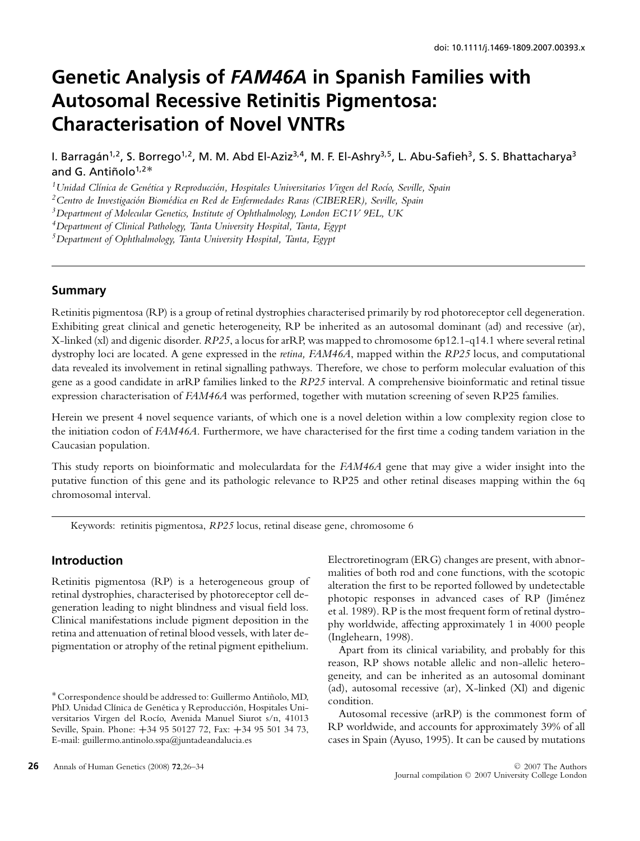# **Genetic Analysis of** *FAM46A* **in Spanish Families with Autosomal Recessive Retinitis Pigmentosa: Characterisation of Novel VNTRs**

I. Barragán<sup>1,2</sup>, S. Borrego<sup>1,2</sup>, M. M. Abd El-Aziz<sup>3,4</sup>, M. F. El-Ashry<sup>3,5</sup>, L. Abu-Safieh<sup>3</sup>, S. S. Bhattacharya<sup>3</sup> and G. Antiñolo<sup>1,2</sup><sup>\*</sup>

<sup>1</sup> Unidad Clínica de Genética y Reproducción, Hospitales Universitarios Virgen del Rocío, Seville, Spain

<sup>2</sup> Centro de Investigación Biomédica en Red de Enfermedades Raras (CIBERER), Seville, Spain

*3Department of Molecular Genetics, Institute of Ophthalmology, London EC1V 9EL, UK*

*4Department of Clinical Pathology, Tanta University Hospital, Tanta, Egypt*

*5Department of Ophthalmology, Tanta University Hospital, Tanta, Egypt*

## **Summary**

Retinitis pigmentosa (RP) is a group of retinal dystrophies characterised primarily by rod photoreceptor cell degeneration. Exhibiting great clinical and genetic heterogeneity, RP be inherited as an autosomal dominant (ad) and recessive (ar), X-linked (xl) and digenic disorder. *RP25*, a locus for arRP, was mapped to chromosome 6p12.1-q14.1 where several retinal dystrophy loci are located. A gene expressed in the *retina, FAM46A*, mapped within the *RP25* locus, and computational data revealed its involvement in retinal signalling pathways. Therefore, we chose to perform molecular evaluation of this gene as a good candidate in arRP families linked to the *RP25* interval. A comprehensive bioinformatic and retinal tissue expression characterisation of *FAM46A* was performed, together with mutation screening of seven RP25 families.

Herein we present 4 novel sequence variants, of which one is a novel deletion within a low complexity region close to the initiation codon of *FAM46A*. Furthermore, we have characterised for the first time a coding tandem variation in the Caucasian population.

This study reports on bioinformatic and moleculardata for the *FAM46A* gene that may give a wider insight into the putative function of this gene and its pathologic relevance to RP25 and other retinal diseases mapping within the 6q chromosomal interval.

Keywords: retinitis pigmentosa, *RP25* locus, retinal disease gene, chromosome 6

# **Introduction**

Retinitis pigmentosa (RP) is a heterogeneous group of retinal dystrophies, characterised by photoreceptor cell degeneration leading to night blindness and visual field loss. Clinical manifestations include pigment deposition in the retina and attenuation of retinal blood vessels, with later depigmentation or atrophy of the retinal pigment epithelium.

Electroretinogram (ERG) changes are present, with abnormalities of both rod and cone functions, with the scotopic alteration the first to be reported followed by undetectable photopic responses in advanced cases of RP (Jiménez et al. 1989). RP is the most frequent form of retinal dystrophy worldwide, affecting approximately 1 in 4000 people (Inglehearn, 1998).

Apart from its clinical variability, and probably for this reason, RP shows notable allelic and non-allelic heterogeneity, and can be inherited as an autosomal dominant (ad), autosomal recessive (ar), X-linked (Xl) and digenic condition.

Autosomal recessive (arRP) is the commonest form of RP worldwide, and accounts for approximately 39% of all cases in Spain (Ayuso, 1995). It can be caused by mutations

<sup>∗</sup>Correspondence should be addressed to: Guillermo Antinolo, MD, ˜ PhD. Unidad Clínica de Genética y Reproducción, Hospitales Universitarios Virgen del Rocío, Avenida Manuel Siurot s/n, 41013 Seville, Spain. Phone: **+**34 95 50127 72, Fax: **+**34 95 501 34 73, E-mail: guillermo.antinolo.sspa@juntadeandalucia.es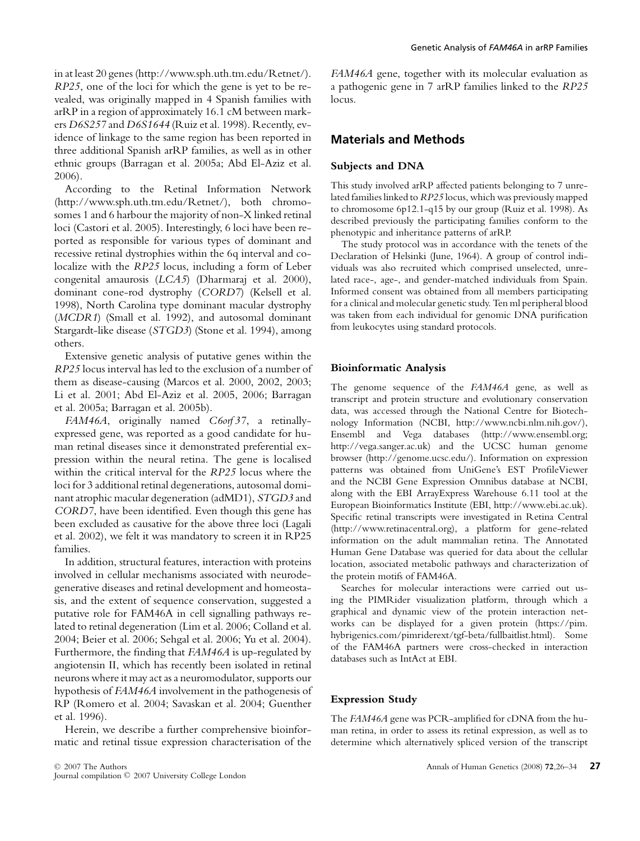in at least 20 genes (http://www.sph.uth.tm.edu/Retnet/). *RP25*, one of the loci for which the gene is yet to be revealed, was originally mapped in 4 Spanish families with arRP in a region of approximately 16.1 cM between markers *D6S257* and *D6S1644* (Ruiz et al. 1998). Recently, evidence of linkage to the same region has been reported in three additional Spanish arRP families, as well as in other ethnic groups (Barragan et al. 2005a; Abd El-Aziz et al. 2006).

According to the Retinal Information Network (http://www.sph.uth.tm.edu/Retnet/), both chromosomes 1 and 6 harbour the majority of non-X linked retinal loci (Castori et al. 2005). Interestingly, 6 loci have been reported as responsible for various types of dominant and recessive retinal dystrophies within the 6q interval and colocalize with the *RP25* locus, including a form of Leber congenital amaurosis (*LCA5*) (Dharmaraj et al. 2000), dominant cone-rod dystrophy (*CORD7*) (Kelsell et al. 1998), North Carolina type dominant macular dystrophy (*MCDR1*) (Small et al. 1992), and autosomal dominant Stargardt-like disease (*STGD3*) (Stone et al. 1994), among others.

Extensive genetic analysis of putative genes within the *RP25* locus interval has led to the exclusion of a number of them as disease-causing (Marcos et al. 2000, 2002, 2003; Li et al. 2001; Abd El-Aziz et al. 2005, 2006; Barragan et al. 2005a; Barragan et al. 2005b).

*FAM46A*, originally named *C6orf 37*, a retinallyexpressed gene, was reported as a good candidate for human retinal diseases since it demonstrated preferential expression within the neural retina. The gene is localised within the critical interval for the *RP25* locus where the loci for 3 additional retinal degenerations, autosomal dominant atrophic macular degeneration (adMD1), *STGD3* and *CORD7*, have been identified. Even though this gene has been excluded as causative for the above three loci (Lagali et al. 2002), we felt it was mandatory to screen it in RP25 families.

In addition, structural features, interaction with proteins involved in cellular mechanisms associated with neurodegenerative diseases and retinal development and homeostasis, and the extent of sequence conservation, suggested a putative role for FAM46A in cell signalling pathways related to retinal degeneration (Lim et al. 2006; Colland et al. 2004; Beier et al. 2006; Sehgal et al. 2006; Yu et al. 2004). Furthermore, the finding that *FAM46A* is up-regulated by angiotensin II, which has recently been isolated in retinal neurons where it may act as a neuromodulator, supports our hypothesis of *FAM46A* involvement in the pathogenesis of RP (Romero et al. 2004; Savaskan et al. 2004; Guenther et al. 1996).

Herein, we describe a further comprehensive bioinformatic and retinal tissue expression characterisation of the

*FAM46A* gene, together with its molecular evaluation as a pathogenic gene in 7 arRP families linked to the *RP25* locus.

## **Materials and Methods**

## **Subjects and DNA**

This study involved arRP affected patients belonging to 7 unrelated families linked to *RP25* locus, which was previously mapped to chromosome 6p12.1-q15 by our group (Ruiz et al. 1998). As described previously the participating families conform to the phenotypic and inheritance patterns of arRP.

The study protocol was in accordance with the tenets of the Declaration of Helsinki (June, 1964). A group of control individuals was also recruited which comprised unselected, unrelated race-, age-, and gender-matched individuals from Spain. Informed consent was obtained from all members participating for a clinical and molecular genetic study. Ten ml peripheral blood was taken from each individual for genomic DNA purification from leukocytes using standard protocols.

## **Bioinformatic Analysis**

The genome sequence of the *FAM46A* gene, as well as transcript and protein structure and evolutionary conservation data, was accessed through the National Centre for Biotechnology Information (NCBI, http://www.ncbi.nlm.nih.gov/), Ensembl and Vega databases (http://www.ensembl.org; http://vega.sanger.ac.uk) and the UCSC human genome browser (http://genome.ucsc.edu/). Information on expression patterns was obtained from UniGene's EST ProfileViewer and the NCBI Gene Expression Omnibus database at NCBI, along with the EBI ArrayExpress Warehouse 6.11 tool at the European Bioinformatics Institute (EBI, http://www.ebi.ac.uk). Specific retinal transcripts were investigated in Retina Central (http://www.retinacentral.org), a platform for gene-related information on the adult mammalian retina. The Annotated Human Gene Database was queried for data about the cellular location, associated metabolic pathways and characterization of the protein motifs of FAM46A.

Searches for molecular interactions were carried out using the PIMRider visualization platform, through which a graphical and dynamic view of the protein interaction networks can be displayed for a given protein (https://pim. hybrigenics.com/pimriderext/tgf-beta/fullbaitlist.html). Some of the FAM46A partners were cross-checked in interaction databases such as IntAct at EBI.

## **Expression Study**

The *FAM46A* gene was PCR-amplified for cDNA from the human retina, in order to assess its retinal expression, as well as to determine which alternatively spliced version of the transcript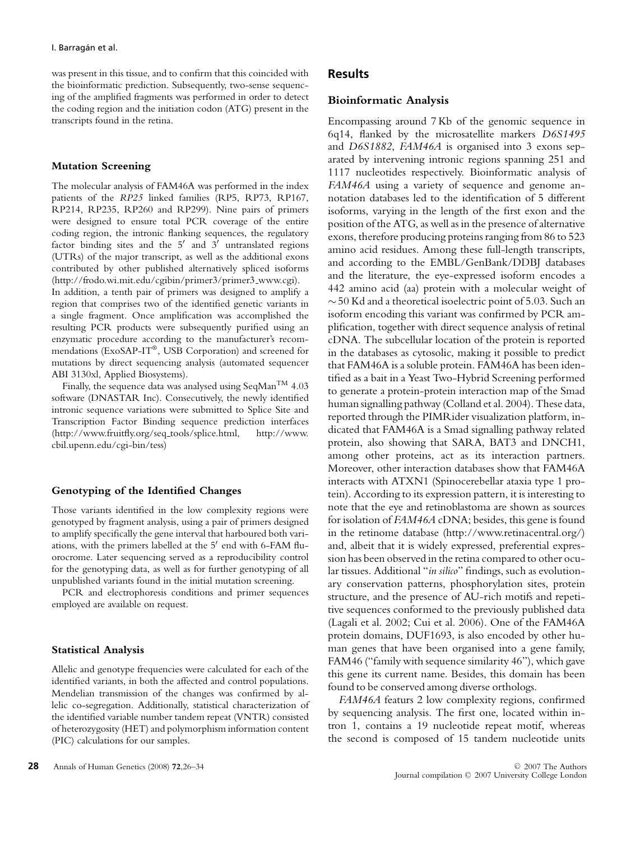was present in this tissue, and to confirm that this coincided with the bioinformatic prediction. Subsequently, two-sense sequencing of the amplified fragments was performed in order to detect the coding region and the initiation codon (ATG) present in the transcripts found in the retina.

#### **Mutation Screening**

The molecular analysis of FAM46A was performed in the index patients of the *RP25* linked families (RP5, RP73, RP167, RP214, RP235, RP260 and RP299). Nine pairs of primers were designed to ensure total PCR coverage of the entire coding region, the intronic flanking sequences, the regulatory factor binding sites and the  $5'$  and  $3'$  untranslated regions (UTRs) of the major transcript, as well as the additional exons contributed by other published alternatively spliced isoforms (http://frodo.wi.mit.edu/cgibin/primer3/primer3 www.cgi).

In addition, a tenth pair of primers was designed to amplify a region that comprises two of the identified genetic variants in a single fragment. Once amplification was accomplished the resulting PCR products were subsequently purified using an enzymatic procedure according to the manufacturer's recommendations (ExoSAP-IT®, USB Corporation) and screened for mutations by direct sequencing analysis (automated sequencer ABI 3130xl, Applied Biosystems).

Finally, the sequence data was analysed using SeqMan<sup>TM</sup> 4.03 software (DNASTAR Inc). Consecutively, the newly identified intronic sequence variations were submitted to Splice Site and Transcription Factor Binding sequence prediction interfaces (http://www.fruitfly.org/seq tools/splice.html, http://www. cbil.upenn.edu/cgi-bin/tess)

#### **Genotyping of the Identified Changes**

Those variants identified in the low complexity regions were genotyped by fragment analysis, using a pair of primers designed to amplify specifically the gene interval that harboured both variations, with the primers labelled at the 5' end with 6-FAM fluorocrome. Later sequencing served as a reproducibility control for the genotyping data, as well as for further genotyping of all unpublished variants found in the initial mutation screening.

PCR and electrophoresis conditions and primer sequences employed are available on request.

#### **Statistical Analysis**

Allelic and genotype frequencies were calculated for each of the identified variants, in both the affected and control populations. Mendelian transmission of the changes was confirmed by allelic co-segregation. Additionally, statistical characterization of the identified variable number tandem repeat (VNTR) consisted of heterozygosity (HET) and polymorphism information content (PIC) calculations for our samples.

### **Results**

#### **Bioinformatic Analysis**

Encompassing around 7 Kb of the genomic sequence in 6q14, flanked by the microsatellite markers *D6S1495* and *D6S1882*, *FAM46A* is organised into 3 exons separated by intervening intronic regions spanning 251 and 1117 nucleotides respectively. Bioinformatic analysis of *FAM46A* using a variety of sequence and genome annotation databases led to the identification of 5 different isoforms, varying in the length of the first exon and the position of the ATG, as well as in the presence of alternative exons, therefore producing proteins ranging from 86 to 523 amino acid residues. Among these full-length transcripts, and according to the EMBL/GenBank/DDBJ databases and the literature, the eye-expressed isoform encodes a 442 amino acid (aa) protein with a molecular weight of ∼50 Kd and a theoretical isoelectric point of 5.03. Such an isoform encoding this variant was confirmed by PCR amplification, together with direct sequence analysis of retinal cDNA. The subcellular location of the protein is reported in the databases as cytosolic, making it possible to predict that FAM46A is a soluble protein. FAM46A has been identified as a bait in a Yeast Two-Hybrid Screening performed to generate a protein-protein interaction map of the Smad human signalling pathway (Colland et al. 2004). These data, reported through the PIMRider visualization platform, indicated that FAM46A is a Smad signalling pathway related protein, also showing that SARA, BAT3 and DNCH1, among other proteins, act as its interaction partners. Moreover, other interaction databases show that FAM46A interacts with ATXN1 (Spinocerebellar ataxia type 1 protein). According to its expression pattern, it is interesting to note that the eye and retinoblastoma are shown as sources for isolation of *FAM46A* cDNA; besides, this gene is found in the retinome database (http://www.retinacentral.org/) and, albeit that it is widely expressed, preferential expression has been observed in the retina compared to other ocular tissues. Additional "*in silico*" findings, such as evolutionary conservation patterns, phosphorylation sites, protein structure, and the presence of AU-rich motifs and repetitive sequences conformed to the previously published data (Lagali et al. 2002; Cui et al. 2006). One of the FAM46A protein domains, DUF1693, is also encoded by other human genes that have been organised into a gene family, FAM46 ("family with sequence similarity 46"), which gave this gene its current name. Besides, this domain has been found to be conserved among diverse orthologs.

*FAM46A* featurs 2 low complexity regions, confirmed by sequencing analysis. The first one, located within intron 1, contains a 19 nucleotide repeat motif, whereas the second is composed of 15 tandem nucleotide units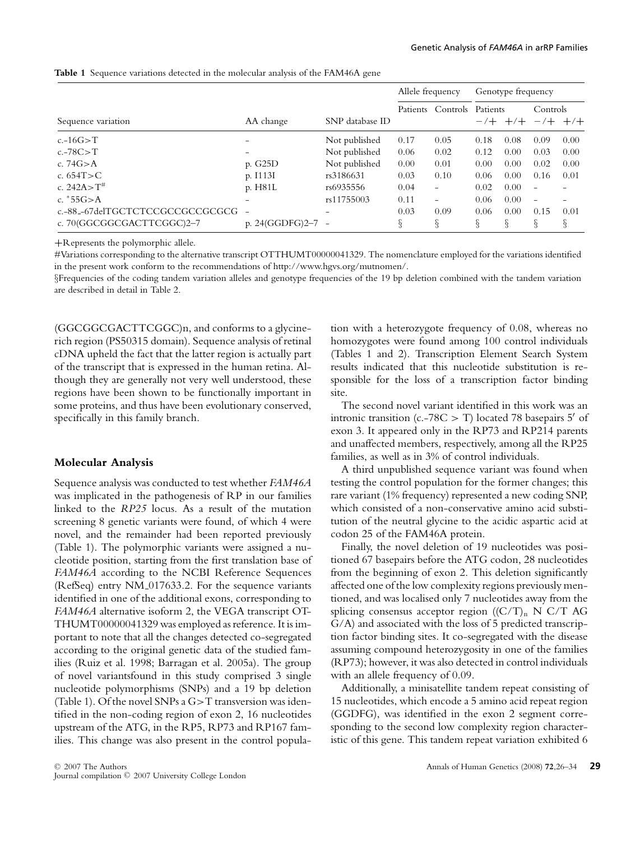|                                 | AA change                | SNP database ID | Allele frequency |                          | Genotype frequency        |      |                          |      |
|---------------------------------|--------------------------|-----------------|------------------|--------------------------|---------------------------|------|--------------------------|------|
| Sequence variation              |                          |                 | Patients         | Controls                 | Patients<br>$-/- +$ $+/-$ |      | Controls<br>$-/- +$ +/+  |      |
| $c.-16G>T$                      |                          | Not published   | 0.17             | 0.05                     | 0.18                      | 0.08 | 0.09                     | 0.00 |
| $c.-78C>T$                      | $\qquad \qquad$          | Not published   | 0.06             | 0.02                     | 0.12                      | 0.00 | 0.03                     | 0.00 |
| c. $74G > A$                    | p. G25D                  | Not published   | 0.00             | 0.01                     | 0.00                      | 0.00 | 0.02                     | 0.00 |
| c. $654T > C$                   | p. I113I                 | rs3186631       | 0.03             | 0.10                     | 0.06                      | 0.00 | 0.16                     | 0.01 |
| c. $242A > T^{\#}$              | p. H81L                  | rs6935556       | 0.04             | $\overline{\phantom{a}}$ | 0.02                      | 0.00 | $\overline{\phantom{a}}$ |      |
| c. $*55G > A$                   |                          | rs11755003      | 0.11             | $\overline{\phantom{a}}$ | 0.06                      | 0.00 | $\overline{\phantom{a}}$ |      |
| c.-88_-67delTGCTCTCCGCCGCCGCGCG | $\overline{\phantom{a}}$ | $\qquad \qquad$ | 0.03             | 0.09                     | 0.06                      | 0.00 | 0.15                     | 0.01 |
| c. 70(GGCGGCGACTTCGGC)2-7       | p. 24(GGDFG)2-7          |                 | ş                | ş                        | ş                         | ş    | ş                        | ş.   |

**Table 1** Sequence variations detected in the molecular analysis of the FAM46A gene

**+**Represents the polymorphic allele.

#Variations corresponding to the alternative transcript OTTHUMT00000041329. The nomenclature employed for the variations identified in the present work conform to the recommendations of http://www.hgvs.org/mutnomen/.

§Frequencies of the coding tandem variation alleles and genotype frequencies of the 19 bp deletion combined with the tandem variation are described in detail in Table 2.

(GGCGGCGACTTCGGC)n, and conforms to a glycinerich region (PS50315 domain). Sequence analysis of retinal cDNA upheld the fact that the latter region is actually part of the transcript that is expressed in the human retina. Although they are generally not very well understood, these regions have been shown to be functionally important in some proteins, and thus have been evolutionary conserved, specifically in this family branch.

#### **Molecular Analysis**

Sequence analysis was conducted to test whether *FAM46A* was implicated in the pathogenesis of RP in our families linked to the *RP25* locus. As a result of the mutation screening 8 genetic variants were found, of which 4 were novel, and the remainder had been reported previously (Table 1). The polymorphic variants were assigned a nucleotide position, starting from the first translation base of *FAM46A* according to the NCBI Reference Sequences (RefSeq) entry NM 017633.2. For the sequence variants identified in one of the additional exons, corresponding to *FAM46A* alternative isoform 2, the VEGA transcript OT-THUMT00000041329 was employed as reference. It is important to note that all the changes detected co-segregated according to the original genetic data of the studied families (Ruiz et al. 1998; Barragan et al. 2005a). The group of novel variantsfound in this study comprised 3 single nucleotide polymorphisms (SNPs) and a 19 bp deletion (Table 1). Of the novel SNPs a G>T transversion was identified in the non-coding region of exon 2, 16 nucleotides upstream of the ATG, in the RP5, RP73 and RP167 families. This change was also present in the control population with a heterozygote frequency of 0.08, whereas no homozygotes were found among 100 control individuals (Tables 1 and 2). Transcription Element Search System results indicated that this nucleotide substitution is responsible for the loss of a transcription factor binding site.

The second novel variant identified in this work was an intronic transition (c.-78C  $>$  T) located 78 basepairs 5' of exon 3. It appeared only in the RP73 and RP214 parents and unaffected members, respectively, among all the RP25 families, as well as in 3% of control individuals.

A third unpublished sequence variant was found when testing the control population for the former changes; this rare variant (1% frequency) represented a new coding SNP, which consisted of a non-conservative amino acid substitution of the neutral glycine to the acidic aspartic acid at codon 25 of the FAM46A protein.

Finally, the novel deletion of 19 nucleotides was positioned 67 basepairs before the ATG codon, 28 nucleotides from the beginning of exon 2. This deletion significantly affected one of the low complexity regions previously mentioned, and was localised only 7 nucleotides away from the splicing consensus acceptor region  $((C/T)_n N C/T AG)$ G/A) and associated with the loss of 5 predicted transcription factor binding sites. It co-segregated with the disease assuming compound heterozygosity in one of the families (RP73); however, it was also detected in control individuals with an allele frequency of 0.09.

Additionally, a minisatellite tandem repeat consisting of 15 nucleotides, which encode a 5 amino acid repeat region (GGDFG), was identified in the exon 2 segment corresponding to the second low complexity region characteristic of this gene. This tandem repeat variation exhibited 6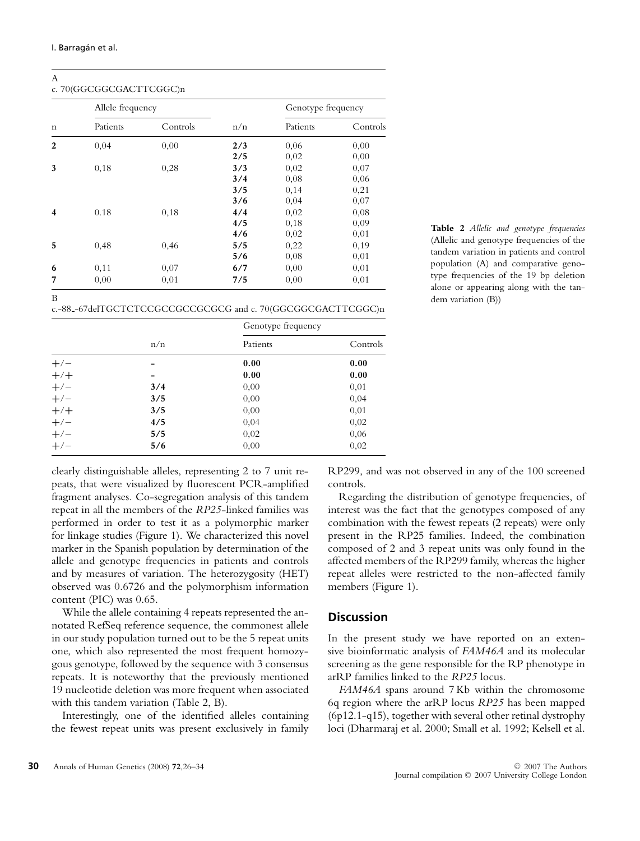A

# c. 70(GGCGGCGACTTCGGC)n

| $\mathbf n$ | Allele frequency |          |     | Genotype frequency |          |  |
|-------------|------------------|----------|-----|--------------------|----------|--|
|             | Patients         | Controls | n/n | Patients           | Controls |  |
| 2           | 0,04             | 0,00     | 2/3 | 0,06               | 0,00     |  |
|             |                  |          | 2/5 | 0,02               | 0,00     |  |
| 3           | 0,18             | 0,28     | 3/3 | 0,02               | 0,07     |  |
|             |                  |          | 3/4 | 0.08               | 0,06     |  |
|             |                  |          | 3/5 | 0,14               | 0,21     |  |
|             |                  |          | 3/6 | 0,04               | 0,07     |  |
| 4           | 0.18             | 0,18     | 4/4 | 0,02               | 0.08     |  |
|             |                  |          | 4/5 | 0,18               | 0,09     |  |
|             |                  |          | 4/6 | 0,02               | 0,01     |  |
| 5           | 0,48             | 0,46     | 5/5 | 0,22               | 0,19     |  |
|             |                  |          | 5/6 | 0,08               | 0,01     |  |
| 6           | 0,11             | 0,07     | 6/7 | 0,00               | 0,01     |  |
| 7           | 0,00             | 0,01     | 7/5 | 0.00               | 0.01     |  |

c.-88 -67delTGCTCTCCGCCGCCGCGCG and c. 70(GGCGGCGACTTCGGC)n

|       |     | Genotype frequency |          |  |  |
|-------|-----|--------------------|----------|--|--|
|       | n/n | Patients           | Controls |  |  |
| $+/-$ |     | 0.00               | 0.00     |  |  |
| $+/-$ |     | 0.00               | 0.00     |  |  |
| $+/-$ | 3/4 | 0.00               | 0,01     |  |  |
| $+/-$ | 3/5 | 0,00               | 0,04     |  |  |
| $+/-$ | 3/5 | 0,00               | 0,01     |  |  |
| $+/-$ | 4/5 | 0,04               | 0,02     |  |  |
| $+/-$ | 5/5 | 0,02               | 0,06     |  |  |
| $+/-$ | 5/6 | 0,00               | 0,02     |  |  |

**Table 2** *Allelic and genotype frequencies* (Allelic and genotype frequencies of the tandem variation in patients and control population (A) and comparative genotype frequencies of the 19 bp deletion alone or appearing along with the tandem variation (B))

clearly distinguishable alleles, representing 2 to 7 unit repeats, that were visualized by fluorescent PCR-amplified fragment analyses. Co-segregation analysis of this tandem repeat in all the members of the *RP25*-linked families was performed in order to test it as a polymorphic marker for linkage studies (Figure 1). We characterized this novel marker in the Spanish population by determination of the allele and genotype frequencies in patients and controls and by measures of variation. The heterozygosity (HET) observed was 0.6726 and the polymorphism information content (PIC) was 0.65.

While the allele containing 4 repeats represented the annotated RefSeq reference sequence, the commonest allele in our study population turned out to be the 5 repeat units one, which also represented the most frequent homozygous genotype, followed by the sequence with 3 consensus repeats. It is noteworthy that the previously mentioned 19 nucleotide deletion was more frequent when associated with this tandem variation (Table 2, B).

Interestingly, one of the identified alleles containing the fewest repeat units was present exclusively in family RP299, and was not observed in any of the 100 screened controls.

Regarding the distribution of genotype frequencies, of interest was the fact that the genotypes composed of any combination with the fewest repeats (2 repeats) were only present in the RP25 families. Indeed, the combination composed of 2 and 3 repeat units was only found in the affected members of the RP299 family, whereas the higher repeat alleles were restricted to the non-affected family members (Figure 1).

## **Discussion**

In the present study we have reported on an extensive bioinformatic analysis of *FAM46A* and its molecular screening as the gene responsible for the RP phenotype in arRP families linked to the *RP25* locus.

*FAM46A* spans around 7 Kb within the chromosome 6q region where the arRP locus *RP25* has been mapped (6p12.1-q15), together with several other retinal dystrophy loci (Dharmaraj et al. 2000; Small et al. 1992; Kelsell et al.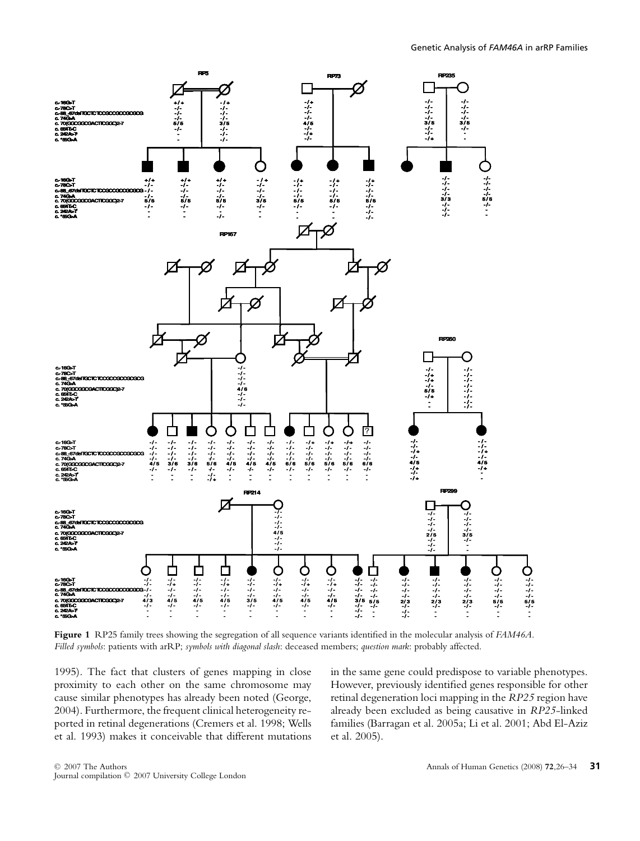

**Figure 1** RP25 family trees showing the segregation of all sequence variants identified in the molecular analysis of *FAM46A*. *Filled symbols*: patients with arRP; *symbols with diagonal slash*: deceased members; *question mark*: probably affected.

1995). The fact that clusters of genes mapping in close proximity to each other on the same chromosome may cause similar phenotypes has already been noted (George, 2004). Furthermore, the frequent clinical heterogeneity reported in retinal degenerations (Cremers et al. 1998; Wells et al. 1993) makes it conceivable that different mutations

in the same gene could predispose to variable phenotypes. However, previously identified genes responsible for other retinal degeneration loci mapping in the *RP25* region have already been excluded as being causative in *RP25*-linked families (Barragan et al. 2005a; Li et al. 2001; Abd El-Aziz et al. 2005).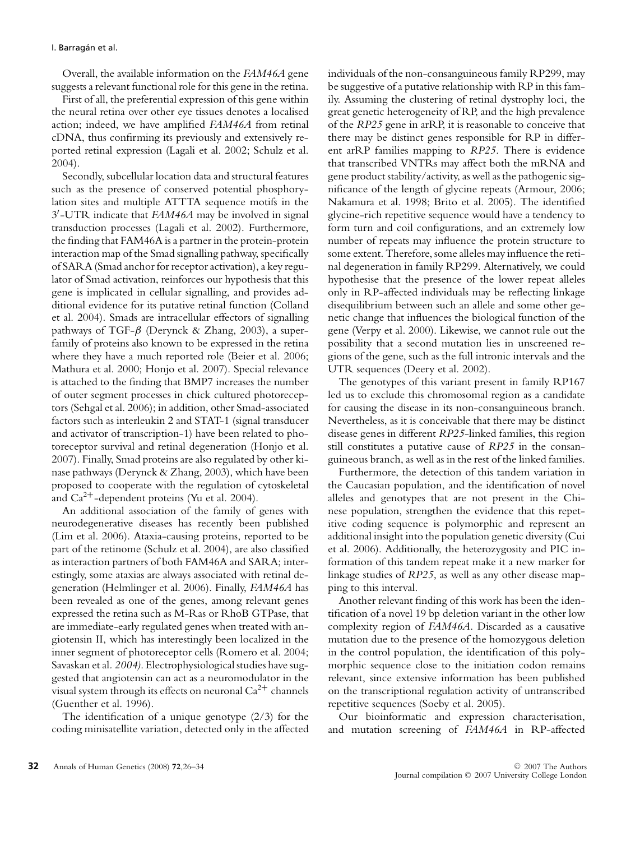Overall, the available information on the *FAM46A* gene suggests a relevant functional role for this gene in the retina.

First of all, the preferential expression of this gene within the neural retina over other eye tissues denotes a localised action; indeed, we have amplified *FAM46A* from retinal cDNA, thus confirming its previously and extensively reported retinal expression (Lagali et al. 2002; Schulz et al. 2004).

Secondly, subcellular location data and structural features such as the presence of conserved potential phosphorylation sites and multiple ATTTA sequence motifs in the 3 -UTR indicate that *FAM46A* may be involved in signal transduction processes (Lagali et al. 2002). Furthermore, the finding that FAM46A is a partner in the protein-protein interaction map of the Smad signalling pathway, specifically of SARA (Smad anchor for receptor activation), a key regulator of Smad activation, reinforces our hypothesis that this gene is implicated in cellular signalling, and provides additional evidence for its putative retinal function (Colland et al. 2004). Smads are intracellular effectors of signalling pathways of TGF- $\beta$  (Derynck & Zhang, 2003), a superfamily of proteins also known to be expressed in the retina where they have a much reported role (Beier et al. 2006; Mathura et al. 2000; Honjo et al. 2007). Special relevance is attached to the finding that BMP7 increases the number of outer segment processes in chick cultured photoreceptors (Sehgal et al. 2006); in addition, other Smad-associated factors such as interleukin 2 and STAT-1 (signal transducer and activator of transcription-1) have been related to photoreceptor survival and retinal degeneration (Honjo et al. 2007). Finally, Smad proteins are also regulated by other kinase pathways (Derynck & Zhang, 2003), which have been proposed to cooperate with the regulation of cytoskeletal and Ca<sup>2</sup>**<sup>+</sup>**-dependent proteins (Yu et al. 2004).

An additional association of the family of genes with neurodegenerative diseases has recently been published (Lim et al. 2006). Ataxia-causing proteins, reported to be part of the retinome (Schulz et al. 2004), are also classified as interaction partners of both FAM46A and SARA; interestingly, some ataxias are always associated with retinal degeneration (Helmlinger et al. 2006). Finally, *FAM46A* has been revealed as one of the genes, among relevant genes expressed the retina such as M-Ras or RhoB GTPase, that are immediate-early regulated genes when treated with angiotensin II, which has interestingly been localized in the inner segment of photoreceptor cells (Romero et al. 2004; Savaskan et al*. 2004)*. Electrophysiological studies have suggested that angiotensin can act as a neuromodulator in the visual system through its effects on neuronal  $Ca^{2+}$  channels (Guenther et al. 1996).

The identification of a unique genotype (2/3) for the coding minisatellite variation, detected only in the affected individuals of the non-consanguineous family RP299, may be suggestive of a putative relationship with RP in this family. Assuming the clustering of retinal dystrophy loci, the great genetic heterogeneity of RP, and the high prevalence of the *RP25* gene in arRP, it is reasonable to conceive that there may be distinct genes responsible for RP in different arRP families mapping to *RP25*. There is evidence that transcribed VNTRs may affect both the mRNA and gene product stability/activity, as well as the pathogenic significance of the length of glycine repeats (Armour, 2006; Nakamura et al. 1998; Brito et al. 2005). The identified glycine-rich repetitive sequence would have a tendency to form turn and coil configurations, and an extremely low number of repeats may influence the protein structure to some extent. Therefore, some alleles may influence the retinal degeneration in family RP299. Alternatively, we could hypothesise that the presence of the lower repeat alleles only in RP-affected individuals may be reflecting linkage disequilibrium between such an allele and some other genetic change that influences the biological function of the gene (Verpy et al. 2000). Likewise, we cannot rule out the possibility that a second mutation lies in unscreened regions of the gene, such as the full intronic intervals and the UTR sequences (Deery et al. 2002).

The genotypes of this variant present in family RP167 led us to exclude this chromosomal region as a candidate for causing the disease in its non-consanguineous branch. Nevertheless, as it is conceivable that there may be distinct disease genes in different *RP25*-linked families, this region still constitutes a putative cause of *RP25* in the consanguineous branch, as well as in the rest of the linked families.

Furthermore, the detection of this tandem variation in the Caucasian population, and the identification of novel alleles and genotypes that are not present in the Chinese population, strengthen the evidence that this repetitive coding sequence is polymorphic and represent an additional insight into the population genetic diversity (Cui et al. 2006). Additionally, the heterozygosity and PIC information of this tandem repeat make it a new marker for linkage studies of *RP25*, as well as any other disease mapping to this interval.

Another relevant finding of this work has been the identification of a novel 19 bp deletion variant in the other low complexity region of *FAM46A*. Discarded as a causative mutation due to the presence of the homozygous deletion in the control population, the identification of this polymorphic sequence close to the initiation codon remains relevant, since extensive information has been published on the transcriptional regulation activity of untranscribed repetitive sequences (Soeby et al. 2005).

Our bioinformatic and expression characterisation, and mutation screening of *FAM46A* in RP-affected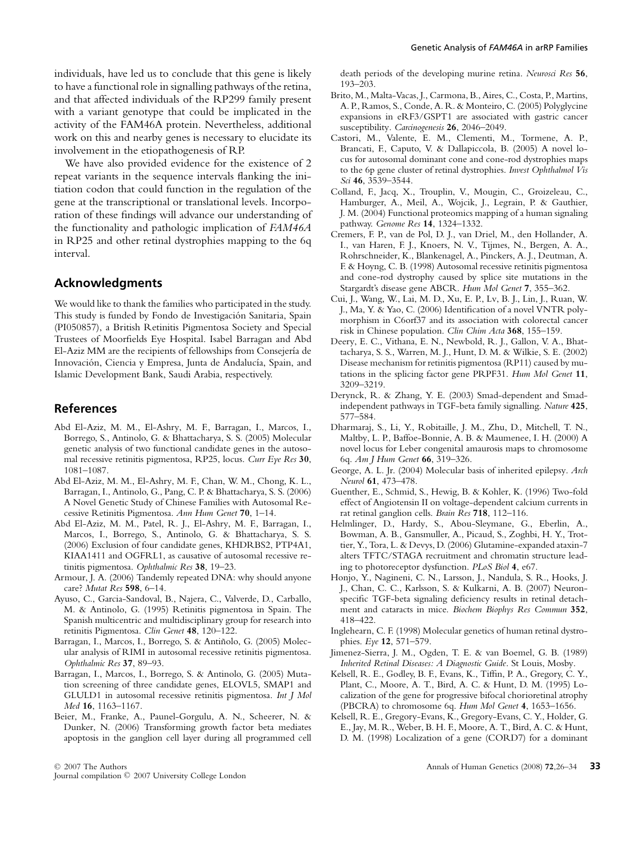individuals, have led us to conclude that this gene is likely to have a functional role in signalling pathways of the retina, and that affected individuals of the RP299 family present with a variant genotype that could be implicated in the activity of the FAM46A protein. Nevertheless, additional work on this and nearby genes is necessary to elucidate its involvement in the etiopathogenesis of RP.

We have also provided evidence for the existence of 2 repeat variants in the sequence intervals flanking the initiation codon that could function in the regulation of the gene at the transcriptional or translational levels. Incorporation of these findings will advance our understanding of the functionality and pathologic implication of *FAM46A* in RP25 and other retinal dystrophies mapping to the 6q interval.

## **Acknowledgments**

We would like to thank the families who participated in the study. This study is funded by Fondo de Investigacion Sanitaria, Spain ´ (PI050857), a British Retinitis Pigmentosa Society and Special Trustees of Moorfields Eye Hospital. Isabel Barragan and Abd El-Aziz MM are the recipients of fellowships from Consejería de Innovación, Ciencia y Empresa, Junta de Andalucía, Spain, and Islamic Development Bank, Saudi Arabia, respectively.

## **References**

- Abd El-Aziz, M. M., El-Ashry, M. F., Barragan, I., Marcos, I., Borrego, S., Antinolo, G. & Bhattacharya, S. S. (2005) Molecular genetic analysis of two functional candidate genes in the autosomal recessive retinitis pigmentosa, RP25, locus. *Curr Eye Res* **30**, 1081–1087.
- Abd El-Aziz, M. M., El-Ashry, M. F., Chan, W. M., Chong, K. L., Barragan, I., Antinolo, G., Pang, C. P. & Bhattacharya, S. S. (2006) A Novel Genetic Study of Chinese Families with Autosomal Recessive Retinitis Pigmentosa. *Ann Hum Genet* **70**, 1–14.
- Abd El-Aziz, M. M., Patel, R. J., El-Ashry, M. F., Barragan, I., Marcos, I., Borrego, S., Antinolo, G. & Bhattacharya, S. S. (2006) Exclusion of four candidate genes, KHDRBS2, PTP4A1, KIAA1411 and OGFRL1, as causative of autosomal recessive retinitis pigmentosa. *Ophthalmic Res* **38**, 19–23.
- Armour, J. A. (2006) Tandemly repeated DNA: why should anyone care? *Mutat Res* **598**, 6–14.
- Ayuso, C., Garcia-Sandoval, B., Najera, C., Valverde, D., Carballo, M. & Antinolo, G. (1995) Retinitis pigmentosa in Spain. The Spanish multicentric and multidisciplinary group for research into retinitis Pigmentosa. *Clin Genet* **48**, 120–122.
- Barragan, I., Marcos, I., Borrego, S. & Antiñolo, G. (2005) Molecular analysis of RIMI in autosomal recessive retinitis pigmentosa. *Ophthalmic Res* **37**, 89–93.
- Barragan, I., Marcos, I., Borrego, S. & Antinolo, G. (2005) Mutation screening of three candidate genes, ELOVL5, SMAP1 and GLULD1 in autosomal recessive retinitis pigmentosa. *Int J Mol Med* **16**, 1163–1167.
- Beier, M., Franke, A., Paunel-Gorgulu, A. N., Scheerer, N. & Dunker, N. (2006) Transforming growth factor beta mediates apoptosis in the ganglion cell layer during all programmed cell

death periods of the developing murine retina. *Neurosci Res* **56**,  $193 - 203$ 

- Brito, M., Malta-Vacas, J., Carmona, B., Aires, C., Costa, P., Martins, A. P., Ramos, S., Conde, A. R. & Monteiro, C. (2005) Polyglycine expansions in eRF3/GSPT1 are associated with gastric cancer susceptibility. *Carcinogenesis* **26**, 2046–2049.
- Castori, M., Valente, E. M., Clementi, M., Tormene, A. P., Brancati, F., Caputo, V. & Dallapiccola, B. (2005) A novel locus for autosomal dominant cone and cone-rod dystrophies maps to the 6p gene cluster of retinal dystrophies. *Invest Ophthalmol Vis Sci* **46**, 3539–3544.
- Colland, F., Jacq, X., Trouplin, V., Mougin, C., Groizeleau, C., Hamburger, A., Meil, A., Wojcik, J., Legrain, P. & Gauthier, J. M. (2004) Functional proteomics mapping of a human signaling pathway. *Genome Res* **14**, 1324–1332.
- Cremers, F. P., van de Pol, D. J., van Driel, M., den Hollander, A. I., van Haren, F. J., Knoers, N. V., Tijmes, N., Bergen, A. A., Rohrschneider, K., Blankenagel, A., Pinckers, A. J., Deutman, A. F. & Hoyng, C. B. (1998) Autosomal recessive retinitis pigmentosa and cone-rod dystrophy caused by splice site mutations in the Stargardt's disease gene ABCR. *Hum Mol Genet* **7**, 355–362.
- Cui, J., Wang, W., Lai, M. D., Xu, E. P., Lv, B. J., Lin, J., Ruan, W. J., Ma, Y. & Yao, C. (2006) Identification of a novel VNTR polymorphism in C6orf37 and its association with colorectal cancer risk in Chinese population. *Clin Chim Acta* **368**, 155–159.
- Deery, E. C., Vithana, E. N., Newbold, R. J., Gallon, V. A., Bhattacharya, S. S., Warren, M. J., Hunt, D. M. & Wilkie, S. E. (2002) Disease mechanism for retinitis pigmentosa (RP11) caused by mutations in the splicing factor gene PRPF31. *Hum Mol Genet* **11**, 3209–3219.
- Derynck, R. & Zhang, Y. E. (2003) Smad-dependent and Smadindependent pathways in TGF-beta family signalling. *Nature* **425**, 577–584.
- Dharmaraj, S., Li, Y., Robitaille, J. M., Zhu, D., Mitchell, T. N., Maltby, L. P., Baffoe-Bonnie, A. B. & Maumenee, I. H. (2000) A novel locus for Leber congenital amaurosis maps to chromosome 6q. *Am J Hum Genet* **66**, 319–326.
- George, A. L. Jr. (2004) Molecular basis of inherited epilepsy. *Arch Neurol* **61**, 473–478.
- Guenther, E., Schmid, S., Hewig, B. & Kohler, K. (1996) Two-fold effect of Angiotensin II on voltage-dependent calcium currents in rat retinal ganglion cells. *Brain Res* **718**, 112–116.
- Helmlinger, D., Hardy, S., Abou-Sleymane, G., Eberlin, A., Bowman, A. B., Gansmuller, A., Picaud, S., Zoghbi, H. Y., Trottier, Y., Tora, L. & Devys, D. (2006) Glutamine-expanded ataxin-7 alters TFTC/STAGA recruitment and chromatin structure leading to photoreceptor dysfunction. *PLoS Biol* **4**, e67.
- Honjo, Y., Nagineni, C. N., Larsson, J., Nandula, S. R., Hooks, J. J., Chan, C. C., Karlsson, S. & Kulkarni, A. B. (2007) Neuronspecific TGF-beta signaling deficiency results in retinal detachment and cataracts in mice. *Biochem Biophys Res Commun* **352**, 418–422.
- Inglehearn, C. F. (1998) Molecular genetics of human retinal dystrophies. *Eye* **12**, 571–579.
- Jimenez-Sierra, J. M., Ogden, T. E. & van Boemel, G. B. (1989) *Inherited Retinal Diseases: A Diagnostic Guide*. St Louis, Mosby.
- Kelsell, R. E., Godley, B. F., Evans, K., Tiffin, P. A., Gregory, C. Y., Plant, C., Moore, A. T., Bird, A. C. & Hunt, D. M. (1995) Localization of the gene for progressive bifocal chorioretinal atrophy (PBCRA) to chromosome 6q. *Hum Mol Genet* **4**, 1653–1656.
- Kelsell, R. E., Gregory-Evans, K., Gregory-Evans, C. Y., Holder, G. E., Jay, M. R., Weber, B. H. F., Moore, A. T., Bird, A. C. & Hunt, D. M. (1998) Localization of a gene (CORD7) for a dominant

<sup>C</sup> 2007 The Authors Journal compilation  $\textcircled{2007}$  University College London